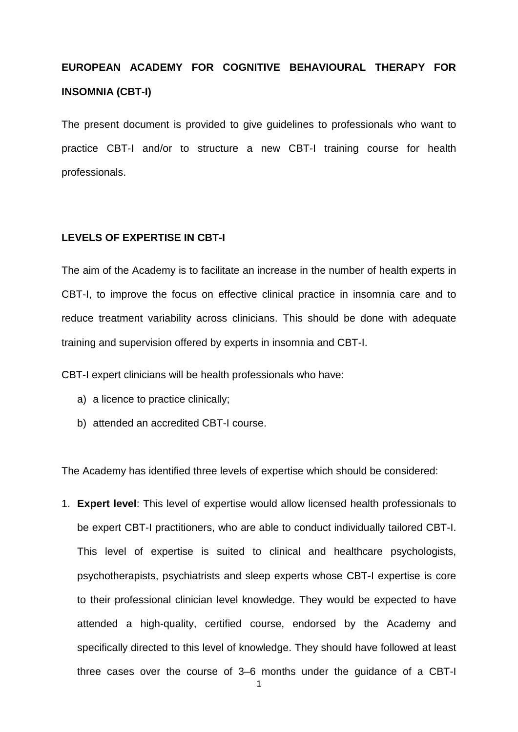# **EUROPEAN ACADEMY FOR COGNITIVE BEHAVIOURAL THERAPY FOR INSOMNIA (CBT-I)**

The present document is provided to give guidelines to professionals who want to practice CBT-I and/or to structure a new CBT-I training course for health professionals.

#### **LEVELS OF EXPERTISE IN CBT-I**

The aim of the Academy is to facilitate an increase in the number of health experts in CBT-I, to improve the focus on effective clinical practice in insomnia care and to reduce treatment variability across clinicians. This should be done with adequate training and supervision offered by experts in insomnia and CBT-I.

CBT-I expert clinicians will be health professionals who have:

- a) a licence to practice clinically;
- b) attended an accredited CBT-I course.

The Academy has identified three levels of expertise which should be considered:

1. **Expert level**: This level of expertise would allow licensed health professionals to be expert CBT-I practitioners, who are able to conduct individually tailored CBT-I. This level of expertise is suited to clinical and healthcare psychologists, psychotherapists, psychiatrists and sleep experts whose CBT-I expertise is core to their professional clinician level knowledge. They would be expected to have attended a high-quality, certified course, endorsed by the Academy and specifically directed to this level of knowledge. They should have followed at least three cases over the course of 3–6 months under the guidance of a CBT-I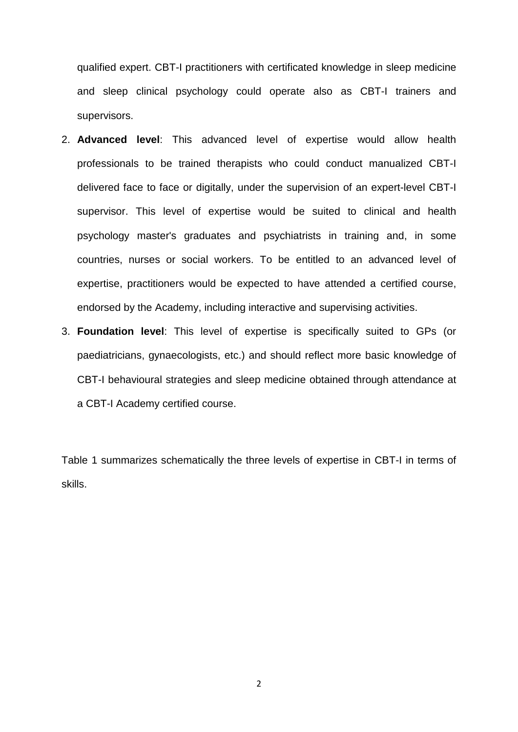qualified expert. CBT-I practitioners with certificated knowledge in sleep medicine and sleep clinical psychology could operate also as CBT-I trainers and supervisors.

- 2. **Advanced level**: This advanced level of expertise would allow health professionals to be trained therapists who could conduct manualized CBT-I delivered face to face or digitally, under the supervision of an expert-level CBT-I supervisor. This level of expertise would be suited to clinical and health psychology master's graduates and psychiatrists in training and, in some countries, nurses or social workers. To be entitled to an advanced level of expertise, practitioners would be expected to have attended a certified course, endorsed by the Academy, including interactive and supervising activities.
- 3. **Foundation level**: This level of expertise is specifically suited to GPs (or paediatricians, gynaecologists, etc.) and should reflect more basic knowledge of CBT-I behavioural strategies and sleep medicine obtained through attendance at a CBT-I Academy certified course.

Table 1 summarizes schematically the three levels of expertise in CBT-I in terms of skills.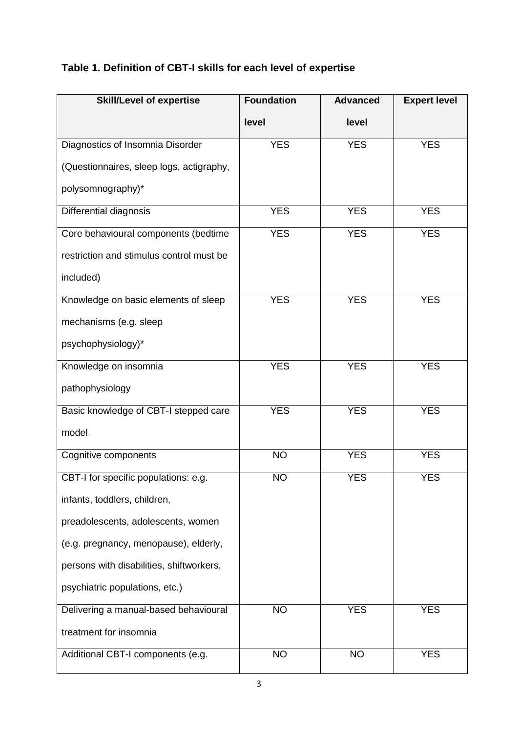## **Table 1. Definition of CBT-I skills for each level of expertise**

| <b>Skill/Level of expertise</b>          | <b>Foundation</b> | <b>Advanced</b> | <b>Expert level</b> |
|------------------------------------------|-------------------|-----------------|---------------------|
|                                          | level             | level           |                     |
| Diagnostics of Insomnia Disorder         | <b>YES</b>        | <b>YES</b>      | <b>YES</b>          |
| (Questionnaires, sleep logs, actigraphy, |                   |                 |                     |
| polysomnography)*                        |                   |                 |                     |
| Differential diagnosis                   | <b>YES</b>        | <b>YES</b>      | <b>YES</b>          |
| Core behavioural components (bedtime     | <b>YES</b>        | <b>YES</b>      | <b>YES</b>          |
| restriction and stimulus control must be |                   |                 |                     |
| included)                                |                   |                 |                     |
| Knowledge on basic elements of sleep     | <b>YES</b>        | <b>YES</b>      | <b>YES</b>          |
| mechanisms (e.g. sleep                   |                   |                 |                     |
| psychophysiology)*                       |                   |                 |                     |
| Knowledge on insomnia                    | <b>YES</b>        | <b>YES</b>      | <b>YES</b>          |
| pathophysiology                          |                   |                 |                     |
| Basic knowledge of CBT-I stepped care    | <b>YES</b>        | <b>YES</b>      | <b>YES</b>          |
| model                                    |                   |                 |                     |
| Cognitive components                     | <b>NO</b>         | <b>YES</b>      | <b>YES</b>          |
| CBT-I for specific populations: e.g.     | <b>NO</b>         | <b>YES</b>      | <b>YES</b>          |
| infants, toddlers, children,             |                   |                 |                     |
| preadolescents, adolescents, women       |                   |                 |                     |
| (e.g. pregnancy, menopause), elderly,    |                   |                 |                     |
| persons with disabilities, shiftworkers, |                   |                 |                     |
| psychiatric populations, etc.)           |                   |                 |                     |
| Delivering a manual-based behavioural    | <b>NO</b>         | <b>YES</b>      | <b>YES</b>          |
| treatment for insomnia                   |                   |                 |                     |
| Additional CBT-I components (e.g.        | <b>NO</b>         | <b>NO</b>       | <b>YES</b>          |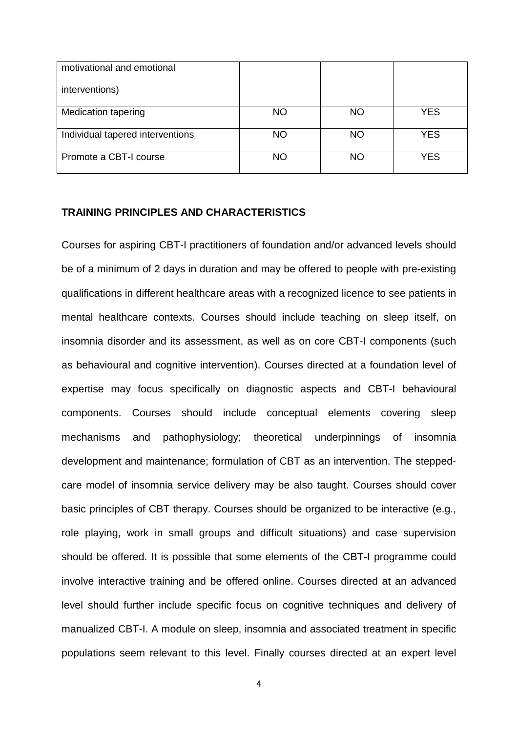| motivational and emotional       |           |           |            |
|----------------------------------|-----------|-----------|------------|
| interventions)                   |           |           |            |
| <b>Medication tapering</b>       | <b>NO</b> | <b>NO</b> | <b>YES</b> |
| Individual tapered interventions | <b>NO</b> | <b>NO</b> | YES        |
| Promote a CBT-I course           | <b>NO</b> | <b>NO</b> | <b>YES</b> |

#### **TRAINING PRINCIPLES AND CHARACTERISTICS**

Courses for aspiring CBT-I practitioners of foundation and/or advanced levels should be of a minimum of 2 days in duration and may be offered to people with pre-existing qualifications in different healthcare areas with a recognized licence to see patients in mental healthcare contexts. Courses should include teaching on sleep itself, on insomnia disorder and its assessment, as well as on core CBT-I components (such as behavioural and cognitive intervention). Courses directed at a foundation level of expertise may focus specifically on diagnostic aspects and CBT-I behavioural components. Courses should include conceptual elements covering sleep mechanisms and pathophysiology; theoretical underpinnings of insomnia development and maintenance; formulation of CBT as an intervention. The steppedcare model of insomnia service delivery may be also taught. Courses should cover basic principles of CBT therapy. Courses should be organized to be interactive (e.g., role playing, work in small groups and difficult situations) and case supervision should be offered. It is possible that some elements of the CBT-I programme could involve interactive training and be offered online. Courses directed at an advanced level should further include specific focus on cognitive techniques and delivery of manualized CBT-I. A module on sleep, insomnia and associated treatment in specific populations seem relevant to this level. Finally courses directed at an expert level

4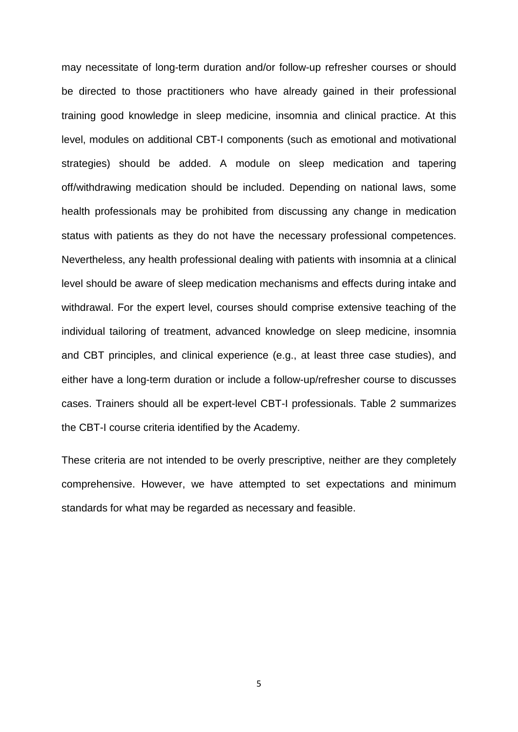may necessitate of long-term duration and/or follow-up refresher courses or should be directed to those practitioners who have already gained in their professional training good knowledge in sleep medicine, insomnia and clinical practice. At this level, modules on additional CBT-I components (such as emotional and motivational strategies) should be added. A module on sleep medication and tapering off/withdrawing medication should be included. Depending on national laws, some health professionals may be prohibited from discussing any change in medication status with patients as they do not have the necessary professional competences. Nevertheless, any health professional dealing with patients with insomnia at a clinical level should be aware of sleep medication mechanisms and effects during intake and withdrawal. For the expert level, courses should comprise extensive teaching of the individual tailoring of treatment, advanced knowledge on sleep medicine, insomnia and CBT principles, and clinical experience (e.g., at least three case studies), and either have a long-term duration or include a follow-up/refresher course to discusses cases. Trainers should all be expert-level CBT-I professionals. Table 2 summarizes the CBT-I course criteria identified by the Academy.

These criteria are not intended to be overly prescriptive, neither are they completely comprehensive. However, we have attempted to set expectations and minimum standards for what may be regarded as necessary and feasible.

5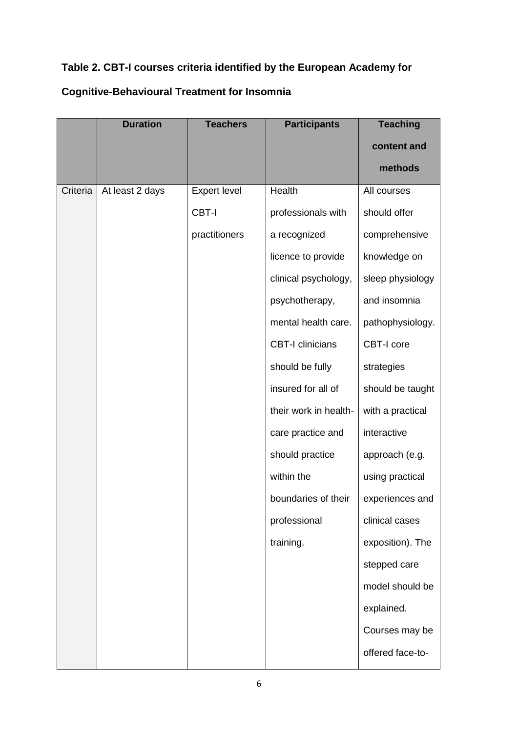## **Table 2. CBT-I courses criteria identified by the European Academy for**

## **Cognitive-Behavioural Treatment for Insomnia**

|          | <b>Duration</b> | <b>Teachers</b>     | <b>Participants</b>     | <b>Teaching</b>  |
|----------|-----------------|---------------------|-------------------------|------------------|
|          |                 |                     |                         | content and      |
|          |                 |                     |                         | methods          |
| Criteria | At least 2 days | <b>Expert level</b> | Health                  | All courses      |
|          |                 | <b>CBT-I</b>        | professionals with      | should offer     |
|          |                 | practitioners       | a recognized            | comprehensive    |
|          |                 |                     | licence to provide      | knowledge on     |
|          |                 |                     | clinical psychology,    | sleep physiology |
|          |                 |                     | psychotherapy,          | and insomnia     |
|          |                 |                     | mental health care.     | pathophysiology. |
|          |                 |                     | <b>CBT-I clinicians</b> | CBT-I core       |
|          |                 |                     | should be fully         | strategies       |
|          |                 |                     | insured for all of      | should be taught |
|          |                 |                     | their work in health-   | with a practical |
|          |                 |                     | care practice and       | interactive      |
|          |                 |                     | should practice         | approach (e.g.   |
|          |                 |                     | within the              | using practical  |
|          |                 |                     | boundaries of their     | experiences and  |
|          |                 |                     | professional            | clinical cases   |
|          |                 |                     | training.               | exposition). The |
|          |                 |                     |                         | stepped care     |
|          |                 |                     |                         | model should be  |
|          |                 |                     |                         | explained.       |
|          |                 |                     |                         | Courses may be   |
|          |                 |                     |                         | offered face-to- |